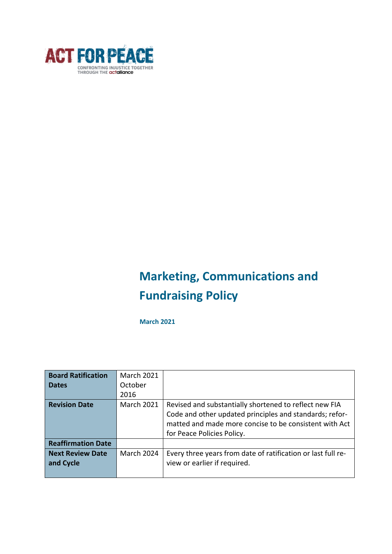

# **Marketing, Communications and Fundraising Policy**

**March 2021**

| <b>Board Ratification</b> | <b>March 2021</b> |                                                                                                                                                                                                           |
|---------------------------|-------------------|-----------------------------------------------------------------------------------------------------------------------------------------------------------------------------------------------------------|
| <b>Dates</b>              | October           |                                                                                                                                                                                                           |
|                           | 2016              |                                                                                                                                                                                                           |
| <b>Revision Date</b>      | <b>March 2021</b> | Revised and substantially shortened to reflect new FIA<br>Code and other updated principles and standards; refor-<br>matted and made more concise to be consistent with Act<br>for Peace Policies Policy. |
| <b>Reaffirmation Date</b> |                   |                                                                                                                                                                                                           |
| <b>Next Review Date</b>   | March 2024        | Every three years from date of ratification or last full re-                                                                                                                                              |
| and Cycle                 |                   | view or earlier if required.                                                                                                                                                                              |
|                           |                   |                                                                                                                                                                                                           |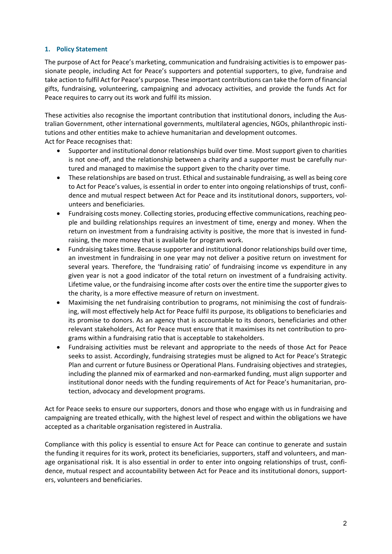## **1. Policy Statement**

The purpose of Act for Peace's marketing, communication and fundraising activities is to empower passionate people, including Act for Peace's supporters and potential supporters, to give, fundraise and take action to fulfil Act for Peace's purpose. These important contributions can take the form of financial gifts, fundraising, volunteering, campaigning and advocacy activities, and provide the funds Act for Peace requires to carry out its work and fulfil its mission.

These activities also recognise the important contribution that institutional donors, including the Australian Government, other international governments, multilateral agencies, NGOs, philanthropic institutions and other entities make to achieve humanitarian and development outcomes.

Act for Peace recognises that:

- Supporter and institutional donor relationships build over time. Most support given to charities is not one-off, and the relationship between a charity and a supporter must be carefully nurtured and managed to maximise the support given to the charity over time.
- These relationships are based on trust. Ethical and sustainable fundraising, as well as being core to Act for Peace's values, is essential in order to enter into ongoing relationships of trust, confidence and mutual respect between Act for Peace and its institutional donors, supporters, volunteers and beneficiaries.
- Fundraising costs money. Collecting stories, producing effective communications, reaching people and building relationships requires an investment of time, energy and money. When the return on investment from a fundraising activity is positive, the more that is invested in fundraising, the more money that is available for program work.
- Fundraising takestime. Because supporter and institutional donor relationships build over time, an investment in fundraising in one year may not deliver a positive return on investment for several years. Therefore, the 'fundraising ratio' of fundraising income vs expenditure in any given year is not a good indicator of the total return on investment of a fundraising activity. Lifetime value, or the fundraising income after costs over the entire time the supporter gives to the charity, is a more effective measure of return on investment.
- Maximising the net fundraising contribution to programs, not minimising the cost of fundraising, will most effectively help Act for Peace fulfil its purpose, its obligations to beneficiaries and its promise to donors. As an agency that is accountable to its donors, beneficiaries and other relevant stakeholders, Act for Peace must ensure that it maximises its net contribution to programs within a fundraising ratio that is acceptable to stakeholders.
- Fundraising activities must be relevant and appropriate to the needs of those Act for Peace seeks to assist. Accordingly, fundraising strategies must be aligned to Act for Peace's Strategic Plan and current or future Business or Operational Plans. Fundraising objectives and strategies, including the planned mix of earmarked and non-earmarked funding, must align supporter and institutional donor needs with the funding requirements of Act for Peace's humanitarian, protection, advocacy and development programs.

Act for Peace seeks to ensure our supporters, donors and those who engage with us in fundraising and campaigning are treated ethically, with the highest level of respect and within the obligations we have accepted as a charitable organisation registered in Australia.

Compliance with this policy is essential to ensure Act for Peace can continue to generate and sustain the funding it requires for its work, protect its beneficiaries, supporters, staff and volunteers, and manage organisational risk. It is also essential in order to enter into ongoing relationships of trust, confidence, mutual respect and accountability between Act for Peace and its institutional donors, supporters, volunteers and beneficiaries.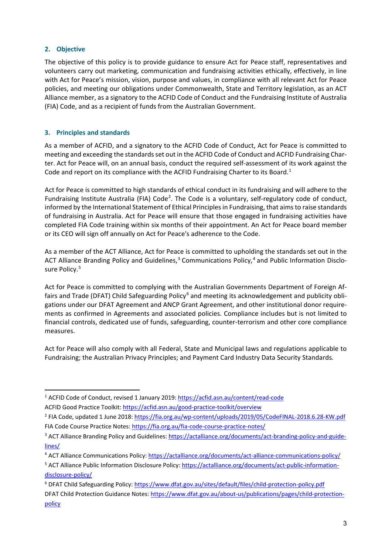## **2. Objective**

The objective of this policy is to provide guidance to ensure Act for Peace staff, representatives and volunteers carry out marketing, communication and fundraising activities ethically, effectively, in line with Act for Peace's mission, vision, purpose and values, in compliance with all relevant Act for Peace policies, and meeting our obligations under Commonwealth, State and Territory legislation, as an ACT Alliance member, as a signatory to the ACFID Code of Conduct and the Fundraising Institute of Australia (FIA) Code, and as a recipient of funds from the Australian Government.

## **3. Principles and standards**

As a member of ACFID, and a signatory to the ACFID Code of Conduct, Act for Peace is committed to meeting and exceeding the standardsset out in the ACFID Code of Conduct and ACFID Fundraising Charter. Act for Peace will, on an annual basis, conduct the required self-assessment of its work against the Code and report on its compliance with the ACFID Fundraising Charter to its Board.<sup>[1](#page-2-0)</sup>

Act for Peace is committed to high standards of ethical conduct in its fundraising and will adhere to the Fundraising Institute Australia (FIA) Code<sup>[2](#page-2-1)</sup>. The Code is a voluntary, self-regulatory code of conduct, informed by the International Statement of Ethical Principlesin Fundraising, that aimsto raise standards of fundraising in Australia. Act for Peace will ensure that those engaged in fundraising activities have completed FIA Code training within six months of their appointment. An Act for Peace board member or its CEO will sign off annually on Act for Peace's adherence to the Code.

As a member of the ACT Alliance, Act for Peace is committed to upholding the standards set out in the ACT Alliance Branding Policy and Guidelines, $3$  Communications Policy, $4$  and Public Information Disclo-sure Policy.<sup>[5](#page-2-4)</sup>

Act for Peace is committed to complying with the Australian Governments Department of Foreign Af-fairs and Trade (DFAT) Child Safeguarding Policy<sup>[6](#page-2-5)</sup> and meeting its acknowledgement and publicity obligations under our DFAT Agreement and ANCP Grant Agreement, and other institutional donor requirements as confirmed in Agreements and associated policies. Compliance includes but is not limited to financial controls, dedicated use of funds, safeguarding, counter-terrorism and other core compliance measures.

Act for Peace will also comply with all Federal, State and Municipal laws and regulations applicable to Fundraising; the Australian Privacy Principles; and Payment Card Industry Data Security Standards*.*

<span id="page-2-0"></span><sup>&</sup>lt;sup>1</sup> ACFID Code of Conduct, revised 1 January 2019: <https://acfid.asn.au/content/read-code> ACFID Good Practice Toolkit: <https://acfid.asn.au/good-practice-toolkit/overview>

<span id="page-2-1"></span><sup>2</sup> FIA Code, updated 1 June 2018: <https://fia.org.au/wp-content/uploads/2019/05/CodeFINAL-2018.6.28-KW.pdf> FIA Code Course Practice Notes: <https://fia.org.au/fia-code-course-practice-notes/>

<span id="page-2-2"></span><sup>&</sup>lt;sup>3</sup> ACT Alliance Branding Policy and Guidelines: [https://actalliance.org/documents/act-branding-policy-and-guide](https://actalliance.org/documents/act-branding-policy-and-guidelines/)[lines/](https://actalliance.org/documents/act-branding-policy-and-guidelines/)

<span id="page-2-3"></span><sup>4</sup> ACT Alliance Communications Policy: <https://actalliance.org/documents/act-alliance-communications-policy/>

<span id="page-2-4"></span><sup>5</sup> ACT Alliance Public Information Disclosure Policy: [https://actalliance.org/documents/act-public-information](https://actalliance.org/documents/act-public-information-disclosure-policy/)[disclosure-policy/](https://actalliance.org/documents/act-public-information-disclosure-policy/)

<span id="page-2-5"></span><sup>6</sup> DFAT Child Safeguarding Policy: <https://www.dfat.gov.au/sites/default/files/child-protection-policy.pdf> DFAT Child Protection Guidance Notes: [https://www.dfat.gov.au/about-us/publications/pages/child-protection](https://www.dfat.gov.au/about-us/publications/pages/child-protection-policy)[policy](https://www.dfat.gov.au/about-us/publications/pages/child-protection-policy)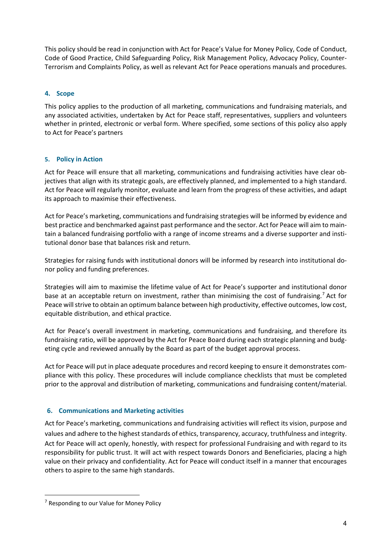This policy should be read in conjunction with Act for Peace's Value for Money Policy, Code of Conduct, Code of Good Practice, Child Safeguarding Policy, Risk Management Policy, Advocacy Policy, Counter-Terrorism and Complaints Policy, as well as relevant Act for Peace operations manuals and procedures.

# **4. Scope**

This policy applies to the production of all marketing, communications and fundraising materials, and any associated activities, undertaken by Act for Peace staff, representatives, suppliers and volunteers whether in printed, electronic or verbal form. Where specified, some sections of this policy also apply to Act for Peace's partners

# **5. Policy in Action**

Act for Peace will ensure that all marketing, communications and fundraising activities have clear objectives that align with its strategic goals, are effectively planned, and implemented to a high standard. Act for Peace will regularly monitor, evaluate and learn from the progress of these activities, and adapt its approach to maximise their effectiveness.

Act for Peace's marketing, communications and fundraising strategies will be informed by evidence and best practice and benchmarked against past performance and the sector. Act for Peace will aim to maintain a balanced fundraising portfolio with a range of income streams and a diverse supporter and institutional donor base that balances risk and return.

Strategies for raising funds with institutional donors will be informed by research into institutional donor policy and funding preferences.

Strategies will aim to maximise the lifetime value of Act for Peace's supporter and institutional donor base at an acceptable return on investment, rather than minimising the cost of fundraising.<sup>[7](#page-3-0)</sup> Act for Peace will strive to obtain an optimum balance between high productivity, effective outcomes, low cost, equitable distribution, and ethical practice.

Act for Peace's overall investment in marketing, communications and fundraising, and therefore its fundraising ratio, will be approved by the Act for Peace Board during each strategic planning and budgeting cycle and reviewed annually by the Board as part of the budget approval process.

Act for Peace will put in place adequate procedures and record keeping to ensure it demonstrates compliance with this policy. These procedures will include compliance checklists that must be completed prior to the approval and distribution of marketing, communications and fundraising content/material.

# **6. Communications and Marketing activities**

Act for Peace's marketing, communications and fundraising activities will reflect its vision, purpose and values and adhere to the highest standards of ethics, transparency, accuracy, truthfulness and integrity. Act for Peace will act openly, honestly, with respect for professional Fundraising and with regard to its responsibility for public trust. It will act with respect towards Donors and Beneficiaries, placing a high value on their privacy and confidentiality. Act for Peace will conduct itself in a manner that encourages others to aspire to the same high standards.

<span id="page-3-0"></span><sup>&</sup>lt;sup>7</sup> Responding to our Value for Money Policy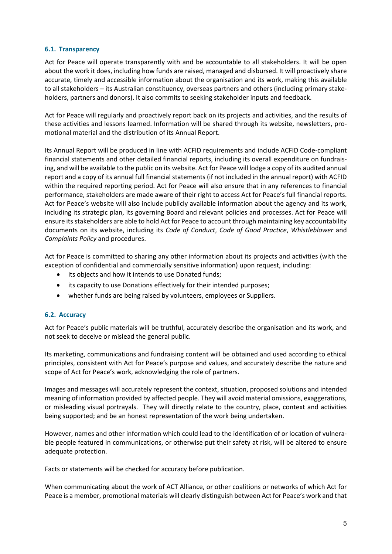## **6.1. Transparency**

Act for Peace will operate transparently with and be accountable to all stakeholders. It will be open about the work it does, including how funds are raised, managed and disbursed. It will proactively share accurate, timely and accessible information about the organisation and its work, making this available to all stakeholders – its Australian constituency, overseas partners and others (including primary stakeholders, partners and donors). It also commits to seeking stakeholder inputs and feedback.

Act for Peace will regularly and proactively report back on its projects and activities, and the results of these activities and lessons learned. Information will be shared through its website, newsletters, promotional material and the distribution of its Annual Report.

Its Annual Report will be produced in line with ACFID requirements and include ACFID Code-compliant financial statements and other detailed financial reports, including its overall expenditure on fundraising, and will be available to the public on its website. Act for Peace will lodge a copy of its audited annual report and a copy of its annual full financial statements (if not included in the annual report) with ACFID within the required reporting period. Act for Peace will also ensure that in any references to financial performance, stakeholders are made aware of their right to access Act for Peace's full financial reports. Act for Peace's website will also include publicly available information about the agency and its work, including its strategic plan, its governing Board and relevant policies and processes. Act for Peace will ensure itsstakeholders are able to hold Act for Peace to account through maintaining key accountability documents on its website, including its *Code of Conduct*, *Code of Good Practice*, *Whistleblower* and *Complaints Policy* and procedures.

Act for Peace is committed to sharing any other information about its projects and activities (with the exception of confidential and commercially sensitive information) upon request, including:

- its objects and how it intends to use Donated funds;
- its capacity to use Donations effectively for their intended purposes;
- whether funds are being raised by volunteers, employees or Suppliers.

#### **6.2. Accuracy**

Act for Peace's public materials will be truthful, accurately describe the organisation and its work, and not seek to deceive or mislead the general public.

Its marketing, communications and fundraising content will be obtained and used according to ethical principles, consistent with Act for Peace's purpose and values, and accurately describe the nature and scope of Act for Peace's work, acknowledging the role of partners.

Images and messages will accurately represent the context, situation, proposed solutions and intended meaning of information provided by affected people. They will avoid material omissions, exaggerations, or misleading visual portrayals. They will directly relate to the country, place, context and activities being supported; and be an honest representation of the work being undertaken.

However, names and other information which could lead to the identification of or location of vulnerable people featured in communications, or otherwise put their safety at risk, will be altered to ensure adequate protection.

Facts or statements will be checked for accuracy before publication.

When communicating about the work of ACT Alliance, or other coalitions or networks of which Act for Peace is a member, promotional materials will clearly distinguish between Act for Peace's work and that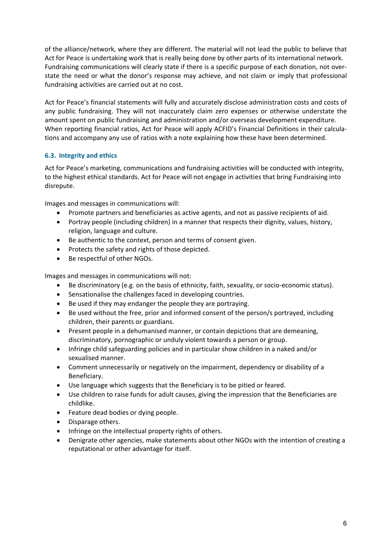of the alliance/network, where they are different. The material will not lead the public to believe that Act for Peace is undertaking work that is really being done by other parts of its international network. Fundraising communications will clearly state if there is a specific purpose of each donation, not overstate the need or what the donor's response may achieve, and not claim or imply that professional fundraising activities are carried out at no cost.

Act for Peace's financial statements will fully and accurately disclose administration costs and costs of any public fundraising. They will not inaccurately claim zero expenses or otherwise understate the amount spent on public fundraising and administration and/or overseas development expenditure. When reporting financial ratios, Act for Peace will apply ACFID's Financial Definitions in their calculations and accompany any use of ratios with a note explaining how these have been determined.

# **6.3. Integrity and ethics**

Act for Peace's marketing, communications and fundraising activities will be conducted with integrity, to the highest ethical standards. Act for Peace will not engage in activities that bring Fundraising into disrepute.

Images and messages in communications will:

- Promote partners and beneficiaries as active agents, and not as passive recipients of aid.
- Portray people (including children) in a manner that respects their dignity, values, history, religion, language and culture.
- Be authentic to the context, person and terms of consent given.
- Protects the safety and rights of those depicted.
- Be respectful of other NGOs.

Images and messages in communications will not:

- Be discriminatory (e.g. on the basis of ethnicity, faith, sexuality, or socio-economic status).
- Sensationalise the challenges faced in developing countries.
- Be used if they may endanger the people they are portraying.
- Be used without the free, prior and informed consent of the person/s portrayed, including children, their parents or guardians.
- Present people in a dehumanised manner, or contain depictions that are demeaning, discriminatory, pornographic or unduly violent towards a person or group.
- Infringe child safeguarding policies and in particular show children in a naked and/or sexualised manner.
- Comment unnecessarily or negatively on the impairment, dependency or disability of a Beneficiary.
- Use language which suggests that the Beneficiary is to be pitied or feared.
- Use children to raise funds for adult causes, giving the impression that the Beneficiaries are childlike.
- Feature dead bodies or dying people.
- Disparage others.
- Infringe on the intellectual property rights of others.
- Denigrate other agencies, make statements about other NGOs with the intention of creating a reputational or other advantage for itself.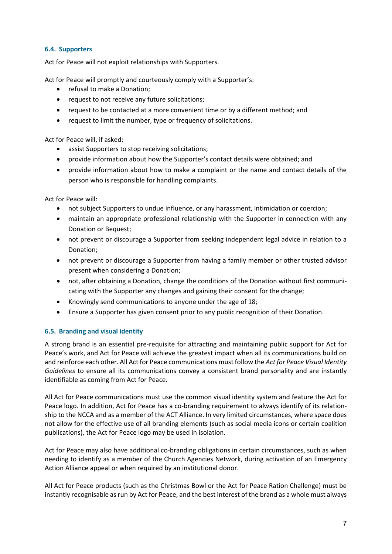# **6.4. Supporters**

Act for Peace will not exploit relationships with Supporters.

Act for Peace will promptly and courteously comply with a Supporter's:

- refusal to make a Donation;
- request to not receive any future solicitations;
- request to be contacted at a more convenient time or by a different method; and
- request to limit the number, type or frequency of solicitations.

Act for Peace will, if asked:

- assist Supporters to stop receiving solicitations;
- provide information about how the Supporter's contact details were obtained; and
- provide information about how to make a complaint or the name and contact details of the person who is responsible for handling complaints.

Act for Peace will:

- not subject Supporters to undue influence, or any harassment, intimidation or coercion;
- maintain an appropriate professional relationship with the Supporter in connection with any Donation or Bequest;
- not prevent or discourage a Supporter from seeking independent legal advice in relation to a Donation;
- not prevent or discourage a Supporter from having a family member or other trusted advisor present when considering a Donation;
- not, after obtaining a Donation, change the conditions of the Donation without first communicating with the Supporter any changes and gaining their consent for the change;
- Knowingly send communications to anyone under the age of 18;
- Ensure a Supporter has given consent prior to any public recognition of their Donation.

#### **6.5. Branding and visual identity**

A strong brand is an essential pre-requisite for attracting and maintaining public support for Act for Peace's work, and Act for Peace will achieve the greatest impact when all its communications build on and reinforce each other. All Act for Peace communications must follow the *Act for Peace Visual Identity Guidelines* to ensure all its communications convey a consistent brand personality and are instantly identifiable as coming from Act for Peace.

All Act for Peace communications must use the common visual identity system and feature the Act for Peace logo. In addition, Act for Peace has a co-branding requirement to always identify of its relationship to the NCCA and as a member of the ACT Alliance. In very limited circumstances, where space does not allow for the effective use of all branding elements (such as social media icons or certain coalition publications), the Act for Peace logo may be used in isolation.

Act for Peace may also have additional co-branding obligations in certain circumstances, such as when needing to identify as a member of the Church Agencies Network, during activation of an Emergency Action Alliance appeal or when required by an institutional donor.

All Act for Peace products (such as the Christmas Bowl or the Act for Peace Ration Challenge) must be instantly recognisable asrun by Act for Peace, and the best interest of the brand as a whole must always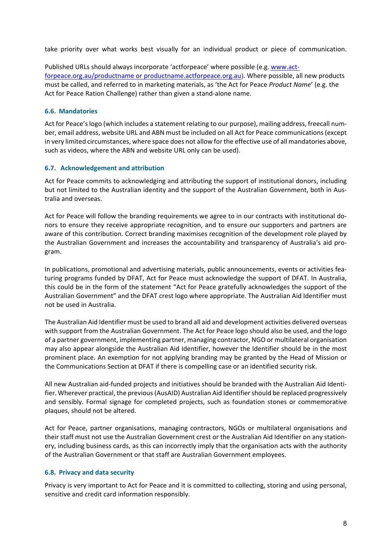take priority over what works best visually for an individual product or piece of communication.

Published URLs should always incorporate 'actforpeace' where possible (e.g. [www.act](http://www.actforpeace.org.au/productname%252520or%252520productname.actforpeace.org.au)forpeace.org.au/productname or [productname.actforpeace.org.au](http://www.actforpeace.org.au/productname%252520or%252520productname.actforpeace.org.au)). Where possible, all new products must be called, and referred to in marketing materials, as 'the Act for Peace *Product Name*' (e.g. the Act for Peace Ration Challenge) rather than given a stand-alone name.

### **6.6. Mandatories**

Act for Peace's logo (which includes a statement relating to our purpose), mailing address, freecall number, email address, website URL and ABN must be included on all Act for Peace communications(except in very limited circumstances, where space does not allow forthe effective use of all mandatories above, such as videos, where the ABN and website URL only can be used).

## **6.7. Acknowledgement and attribution**

Act for Peace commits to acknowledging and attributing the support of institutional donors, including but not limited to the Australian identity and the support of the Australian Government, both in Australia and overseas.

Act for Peace will follow the branding requirements we agree to in our contracts with institutional donors to ensure they receive appropriate recognition, and to ensure our supporters and partners are aware of this contribution. Correct branding maximises recognition of the development role played by the Australian Government and increases the accountability and transparency of Australia's aid program.

In publications, promotional and advertising materials, public announcements, events or activities featuring programs funded by DFAT, Act for Peace must acknowledge the support of DFAT. In Australia, this could be in the form of the statement "Act for Peace gratefully acknowledges the support of the Australian Government" and the DFAT crest logo where appropriate. The Australian Aid Identifier must not be used in Australia.

The Australian Aid Identifier must be used to brand all aid and development activities delivered overseas with support from the Australian Government. The Act for Peace logo should also be used, and the logo of a partner government, implementing partner, managing contractor, NGO or multilateral organisation may also appear alongside the Australian Aid Identifier, however the Identifier should be in the most prominent place. An exemption for not applying branding may be granted by the Head of Mission or the Communications Section at DFAT if there is compelling case or an identified security risk.

All new Australian aid-funded projects and initiatives should be branded with the Australian Aid Identifier. Wherever practical, the previous(AusAID) Australian Aid Identifiershould be replaced progressively and sensibly. Formal signage for completed projects, such as foundation stones or commemorative plaques, should not be altered.

Act for Peace, partner organisations, managing contractors, NGOs or multilateral organisations and their staff must not use the Australian Government crest or the Australian Aid Identifier on any stationery, including business cards, as this can incorrectly imply that the organisation acts with the authority of the Australian Government or that staff are Australian Government employees.

#### **6.8. Privacy and data security**

Privacy is very important to Act for Peace and it is committed to collecting, storing and using personal, sensitive and credit card information responsibly.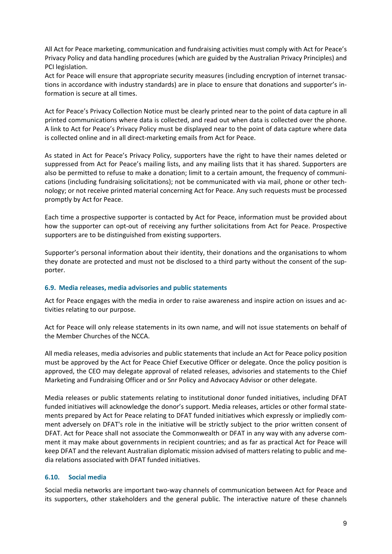All Act for Peace marketing, communication and fundraising activities must comply with Act for Peace's Privacy Policy and data handling procedures (which are guided by the Australian Privacy Principles) and PCI legislation.

Act for Peace will ensure that appropriate security measures (including encryption of internet transactions in accordance with industry standards) are in place to ensure that donations and supporter's information is secure at all times.

Act for Peace's Privacy Collection Notice must be clearly printed near to the point of data capture in all printed communications where data is collected, and read out when data is collected over the phone. A link to Act for Peace's Privacy Policy must be displayed near to the point of data capture where data is collected online and in all direct-marketing emails from Act for Peace.

As stated in Act for Peace's Privacy Policy, supporters have the right to have their names deleted or suppressed from Act for Peace's mailing lists, and any mailing lists that it has shared. Supporters are also be permitted to refuse to make a donation; limit to a certain amount, the frequency of communications (including fundraising solicitations); not be communicated with via mail, phone or other technology; or not receive printed material concerning Act for Peace. Any such requests must be processed promptly by Act for Peace.

Each time a prospective supporter is contacted by Act for Peace, information must be provided about how the supporter can opt-out of receiving any further solicitations from Act for Peace. Prospective supporters are to be distinguished from existing supporters.

Supporter's personal information about their identity, their donations and the organisations to whom they donate are protected and must not be disclosed to a third party without the consent of the supporter.

# **6.9. Media releases, media advisories and public statements**

Act for Peace engages with the media in order to raise awareness and inspire action on issues and activities relating to our purpose.

Act for Peace will only release statements in its own name, and will not issue statements on behalf of the Member Churches of the NCCA.

All media releases, media advisories and public statements that include an Act for Peace policy position must be approved by the Act for Peace Chief Executive Officer or delegate. Once the policy position is approved, the CEO may delegate approval of related releases, advisories and statements to the Chief Marketing and Fundraising Officer and or Snr Policy and Advocacy Advisor or other delegate.

Media releases or public statements relating to institutional donor funded initiatives, including DFAT funded initiatives will acknowledge the donor's support. Media releases, articles or other formal statements prepared by Act for Peace relating to DFAT funded initiatives which expressly or impliedly comment adversely on DFAT's role in the initiative will be strictly subject to the prior written consent of DFAT. Act for Peace shall not associate the Commonwealth or DFAT in any way with any adverse comment it may make about governments in recipient countries; and as far as practical Act for Peace will keep DFAT and the relevant Australian diplomatic mission advised of matters relating to public and media relations associated with DFAT funded initiatives.

# **6.10. Social media**

Social media networks are important two-way channels of communication between Act for Peace and its supporters, other stakeholders and the general public. The interactive nature of these channels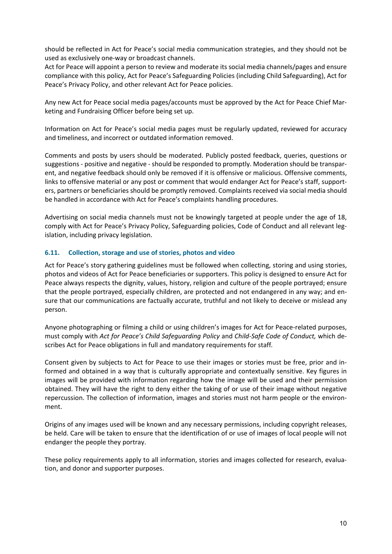should be reflected in Act for Peace's social media communication strategies, and they should not be used as exclusively one-way or broadcast channels.

Act for Peace will appoint a person to review and moderate its social media channels/pages and ensure compliance with this policy, Act for Peace's Safeguarding Policies (including Child Safeguarding), Act for Peace's Privacy Policy, and other relevant Act for Peace policies.

Any new Act for Peace social media pages/accounts must be approved by the Act for Peace Chief Marketing and Fundraising Officer before being set up.

Information on Act for Peace's social media pages must be regularly updated, reviewed for accuracy and timeliness, and incorrect or outdated information removed.

Comments and posts by users should be moderated. Publicly posted feedback, queries, questions or suggestions - positive and negative - should be responded to promptly. Moderation should be transparent, and negative feedback should only be removed if it is offensive or malicious. Offensive comments, links to offensive material or any post or comment that would endanger Act for Peace's staff, supporters, partners or beneficiaries should be promptly removed. Complaints received via social media should be handled in accordance with Act for Peace's complaints handling procedures.

Advertising on social media channels must not be knowingly targeted at people under the age of 18, comply with Act for Peace's Privacy Policy, Safeguarding policies, Code of Conduct and all relevant legislation, including privacy legislation.

## **6.11. Collection, storage and use of stories, photos and video**

Act for Peace's story gathering guidelines must be followed when collecting, storing and using stories, photos and videos of Act for Peace beneficiaries or supporters. This policy is designed to ensure Act for Peace always respects the dignity, values, history, religion and culture of the people portrayed; ensure that the people portrayed, especially children, are protected and not endangered in any way; and ensure that our communications are factually accurate, truthful and not likely to deceive or mislead any person.

Anyone photographing or filming a child or using children's images for Act for Peace-related purposes, must comply with *Act for Peace's Child Safeguarding Policy* and *Child-Safe Code of Conduct,* which describes Act for Peace obligations in full and mandatory requirements for staff*.*

Consent given by subjects to Act for Peace to use their images or stories must be free, prior and informed and obtained in a way that is culturally appropriate and contextually sensitive. Key figures in images will be provided with information regarding how the image will be used and their permission obtained. They will have the right to deny either the taking of or use of their image without negative repercussion. The collection of information, images and stories must not harm people or the environment.

Origins of any images used will be known and any necessary permissions, including copyright releases, be held. Care will be taken to ensure that the identification of or use of images of local people will not endanger the people they portray.

These policy requirements apply to all information, stories and images collected for research, evaluation, and donor and supporter purposes.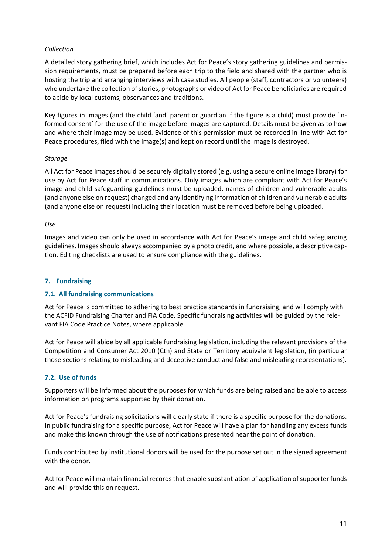## *Collection*

A detailed story gathering brief, which includes Act for Peace's story gathering guidelines and permission requirements, must be prepared before each trip to the field and shared with the partner who is hosting the trip and arranging interviews with case studies. All people (staff, contractors or volunteers) who undertake the collection of stories, photographs or video of Act for Peace beneficiaries are required to abide by local customs, observances and traditions.

Key figures in images (and the child 'and' parent or guardian if the figure is a child) must provide 'informed consent' for the use of the image before images are captured. Details must be given as to how and where their image may be used. Evidence of this permission must be recorded in line with Act for Peace procedures, filed with the image(s) and kept on record until the image is destroyed.

## *Storage*

All Act for Peace images should be securely digitally stored (e.g. using a secure online image library) for use by Act for Peace staff in communications. Only images which are compliant with Act for Peace's image and child safeguarding guidelines must be uploaded, names of children and vulnerable adults (and anyone else on request) changed and any identifying information of children and vulnerable adults (and anyone else on request) including their location must be removed before being uploaded.

#### *Use*

Images and video can only be used in accordance with Act for Peace's image and child safeguarding guidelines. Imagesshould always accompanied by a photo credit, and where possible, a descriptive caption. Editing checklists are used to ensure compliance with the guidelines.

### **7. Fundraising**

#### **7.1. All fundraising communications**

Act for Peace is committed to adhering to best practice standards in fundraising, and will comply with the ACFID Fundraising Charter and FIA Code. Specific fundraising activities will be guided by the relevant FIA Code Practice Notes, where applicable.

Act for Peace will abide by all applicable fundraising legislation, including the relevant provisions of the Competition and Consumer Act 2010 (Cth) and State or Territory equivalent legislation, (in particular those sections relating to misleading and deceptive conduct and false and misleading representations).

### **7.2. Use of funds**

Supporters will be informed about the purposes for which funds are being raised and be able to access information on programs supported by their donation.

Act for Peace's fundraising solicitations will clearly state if there is a specific purpose for the donations. In public fundraising for a specific purpose, Act for Peace will have a plan for handling any excess funds and make this known through the use of notifications presented near the point of donation.

Funds contributed by institutional donors will be used for the purpose set out in the signed agreement with the donor.

Act for Peace will maintain financial records that enable substantiation of application of supporter funds and will provide this on request.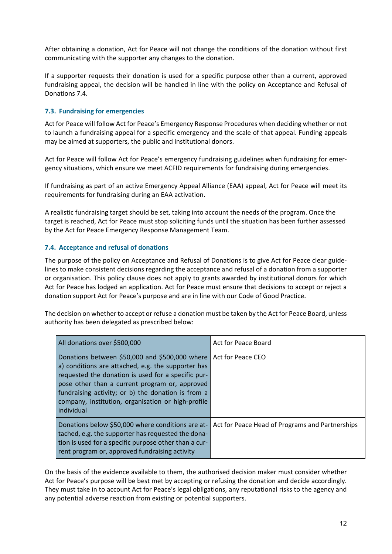After obtaining a donation, Act for Peace will not change the conditions of the donation without first communicating with the supporter any changes to the donation.

If a supporter requests their donation is used for a specific purpose other than a current, approved fundraising appeal, the decision will be handled in line with the policy on Acceptance and Refusal of Donations 7.4.

## **7.3. Fundraising for emergencies**

Act for Peace will follow Act for Peace's Emergency Response Procedures when deciding whether or not to launch a fundraising appeal for a specific emergency and the scale of that appeal. Funding appeals may be aimed at supporters, the public and institutional donors.

Act for Peace will follow Act for Peace's emergency fundraising guidelines when fundraising for emergency situations, which ensure we meet ACFID requirements for fundraising during emergencies.

If fundraising as part of an active Emergency Appeal Alliance (EAA) appeal, Act for Peace will meet its requirements for fundraising during an EAA activation.

A realistic fundraising target should be set, taking into account the needs of the program. Once the target is reached, Act for Peace must stop soliciting funds until the situation has been further assessed by the Act for Peace Emergency Response Management Team.

# **7.4. Acceptance and refusal of donations**

The purpose of the policy on Acceptance and Refusal of Donations is to give Act for Peace clear guidelines to make consistent decisions regarding the acceptance and refusal of a donation from a supporter or organisation. This policy clause does not apply to grants awarded by institutional donors for which Act for Peace has lodged an application. Act for Peace must ensure that decisions to accept or reject a donation support Act for Peace's purpose and are in line with our Code of Good Practice.

The decision on whether to accept or refuse a donation must be taken by the Act for Peace Board, unless authority has been delegated as prescribed below:

| All donations over \$500,000                                                                                                                                                                                                                                                                                                                             | Act for Peace Board                             |
|----------------------------------------------------------------------------------------------------------------------------------------------------------------------------------------------------------------------------------------------------------------------------------------------------------------------------------------------------------|-------------------------------------------------|
| Donations between \$50,000 and \$500,000 where Act for Peace CEO<br>a) conditions are attached, e.g. the supporter has<br>requested the donation is used for a specific pur-<br>pose other than a current program or, approved<br>fundraising activity; or b) the donation is from a<br>company, institution, organisation or high-profile<br>individual |                                                 |
| Donations below \$50,000 where conditions are at-<br>tached, e.g. the supporter has requested the dona-<br>tion is used for a specific purpose other than a cur-<br>rent program or, approved fundraising activity                                                                                                                                       | Act for Peace Head of Programs and Partnerships |

On the basis of the evidence available to them, the authorised decision maker must consider whether Act for Peace's purpose will be best met by accepting or refusing the donation and decide accordingly. They must take in to account Act for Peace's legal obligations, any reputational risks to the agency and any potential adverse reaction from existing or potential supporters.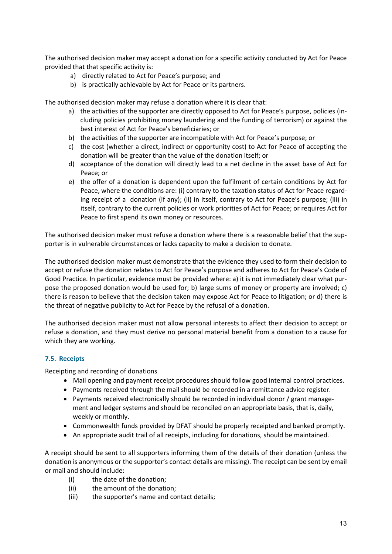The authorised decision maker may accept a donation for a specific activity conducted by Act for Peace provided that that specific activity is:

- a) directly related to Act for Peace's purpose; and
- b) is practically achievable by Act for Peace or its partners.

The authorised decision maker may refuse a donation where it is clear that:

- a) the activities of the supporter are directly opposed to Act for Peace's purpose, policies (including policies prohibiting money laundering and the funding of terrorism) or against the best interest of Act for Peace's beneficiaries; or
- b) the activities of the supporter are incompatible with Act for Peace's purpose; or
- c) the cost (whether a direct, indirect or opportunity cost) to Act for Peace of accepting the donation will be greater than the value of the donation itself; or
- d) acceptance of the donation will directly lead to a net decline in the asset base of Act for Peace; or
- e) the offer of a donation is dependent upon the fulfilment of certain conditions by Act for Peace, where the conditions are: (i) contrary to the taxation status of Act for Peace regarding receipt of a donation (if any); (ii) in itself, contrary to Act for Peace's purpose; (iii) in itself, contrary to the current policies or work priorities of Act for Peace; or requires Act for Peace to first spend its own money or resources.

The authorised decision maker must refuse a donation where there is a reasonable belief that the supporter is in vulnerable circumstances or lacks capacity to make a decision to donate.

The authorised decision maker must demonstrate that the evidence they used to form their decision to accept or refuse the donation relates to Act for Peace's purpose and adheres to Act for Peace's Code of Good Practice. In particular, evidence must be provided where: a) it is not immediately clear what purpose the proposed donation would be used for; b) large sums of money or property are involved; c) there is reason to believe that the decision taken may expose Act for Peace to litigation; or d) there is the threat of negative publicity to Act for Peace by the refusal of a donation.

The authorised decision maker must not allow personal interests to affect their decision to accept or refuse a donation, and they must derive no personal material benefit from a donation to a cause for which they are working.

#### **7.5. Receipts**

Receipting and recording of donations

- Mail opening and payment receipt procedures should follow good internal control practices.
- Payments received through the mail should be recorded in a remittance advice register.
- Payments received electronically should be recorded in individual donor / grant management and ledger systems and should be reconciled on an appropriate basis, that is, daily, weekly or monthly.
- Commonwealth funds provided by DFAT should be properly receipted and banked promptly.
- An appropriate audit trail of all receipts, including for donations, should be maintained.

A receipt should be sent to all supporters informing them of the details of their donation (unless the donation is anonymous or the supporter's contact details are missing). The receipt can be sent by email or mail and should include:

- (i) the date of the donation;
- (ii) the amount of the donation;
- (iii) the supporter's name and contact details;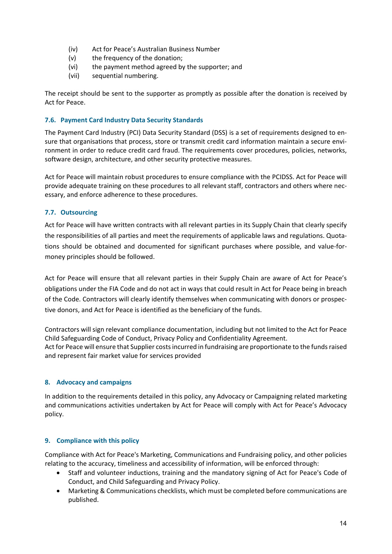- (iv) Act for Peace's Australian Business Number
- (v) the frequency of the donation;
- (vi) the payment method agreed by the supporter; and
- (vii) sequential numbering.

The receipt should be sent to the supporter as promptly as possible after the donation is received by Act for Peace.

# **7.6. Payment Card Industry Data Security Standards**

The Payment Card Industry (PCI) Data Security Standard (DSS) is a set of requirements designed to ensure that organisations that process, store or transmit credit card information maintain a secure environment in order to reduce credit card fraud. The requirements cover procedures, policies, networks, software design, architecture, and other security protective measures.

Act for Peace will maintain robust procedures to ensure compliance with the PCIDSS. Act for Peace will provide adequate training on these procedures to all relevant staff, contractors and others where necessary, and enforce adherence to these procedures.

# **7.7. Outsourcing**

Act for Peace will have written contracts with all relevant parties in its Supply Chain that clearly specify the responsibilities of all parties and meet the requirements of applicable laws and regulations. Quotations should be obtained and documented for significant purchases where possible, and value-formoney principles should be followed.

Act for Peace will ensure that all relevant parties in their Supply Chain are aware of Act for Peace's obligations under the FIA Code and do not act in ways that could result in Act for Peace being in breach of the Code. Contractors will clearly identify themselves when communicating with donors or prospective donors, and Act for Peace is identified as the beneficiary of the funds.

Contractors will sign relevant compliance documentation, including but not limited to the Act for Peace Child Safeguarding Code of Conduct, Privacy Policy and Confidentiality Agreement. Act for Peace will ensure that Supplier costs incurred in fundraising are proportionate to the funds raised and represent fair market value for services provided

# **8. Advocacy and campaigns**

In addition to the requirements detailed in this policy, any Advocacy or Campaigning related marketing and communications activities undertaken by Act for Peace will comply with Act for Peace's Advocacy policy.

# **9. Compliance with this policy**

Compliance with Act for Peace's Marketing, Communications and Fundraising policy, and other policies relating to the accuracy, timeliness and accessibility of information, will be enforced through:

- Staff and volunteer inductions, training and the mandatory signing of Act for Peace's Code of Conduct, and Child Safeguarding and Privacy Policy.
- Marketing & Communications checklists, which must be completed before communications are published.